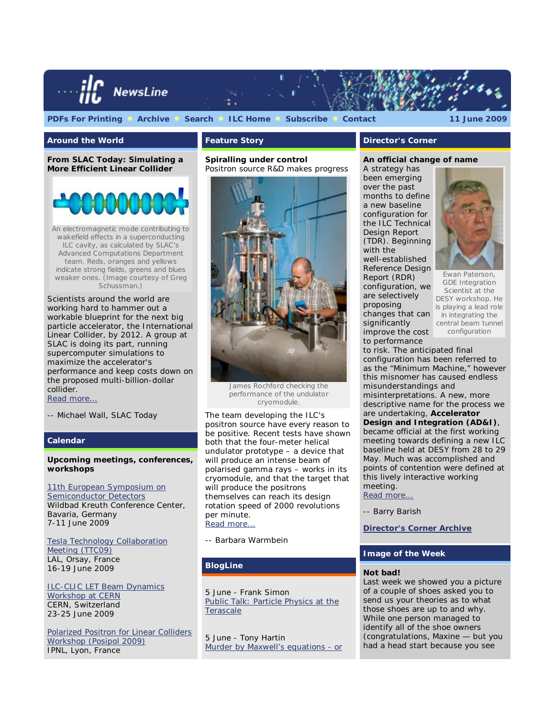

#### **Around the World**

*From SLAC Today***: Simulating a More Efficient Linear Collider**



An electromagnetic mode contributing to wakefield effects in a superconducting ILC cavity, as calculated by SLAC's Advanced Computations Department team. Reds, oranges and yellows indicate strong fields, greens and blues weaker ones. (Image courtesy of Greg Schussman.)

Scientists around the world are working hard to hammer out a workable blueprint for the next big particle accelerator, the International Linear Collider, by 2012. A group at SLAC is doing its part, running supercomputer simulations to maximize the accelerator's performance and keep costs down on the proposed multi-billion-dollar collider. Read more...

*-- Michael Wall, SLAC Today*

# **Calendar**

**Upcoming meetings, conferences, workshops**

11th European Symposium on Semiconductor Detectors Wildbad Kreuth Conference Center, Bavaria, Germany 7-11 June 2009

Tesla Technology Collaboration Meeting (TTC09) LAL, Orsay, France 16-19 June 2009

ILC-CLIC LET Beam Dynamics Workshop at CERN CERN, Switzerland 23-25 June 2009

Polarized Positron for Linear Colliders Workshop (Posipol 2009) IPNL, Lyon, France

# **Feature Story**

#### **Spiralling under control** *Positron source R&D makes progress*



James Rochford checking the performance of the undulator cryomodule.

The team developing the ILC's positron source have every reason to be positive. Recent tests have shown both that the four-meter helical undulator prototype – a device that will produce an intense beam of polarised gamma rays – works in its cryomodule, and that the target that will produce the positrons themselves can reach its design rotation speed of 2000 revolutions per minute. Read more...

*-- Barbara Warmbein*

# **BlogLine**

5 June - *Frank Simon* Public Talk: Particle Physics at the **Terascale** 

5 June - *Tony Hartin* Murder by Maxwell's equations - or

# **Director's Corner**

# **An official change of name**

A strategy has been emerging over the past months to define a new baseline configuration for the ILC Technical Design Report (TDR). Beginning with the well-established Reference Design Report (RDR) configuration, we are selectively proposing changes that can significantly improve the cost to performance



Ewan Paterson, GDE Integration Scientist at the DESY workshop. He is playing a lead role in integrating the central beam tunnel configuration

to risk. The anticipated final configuration has been referred to as the "Minimum Machine," however this misnomer has caused endless misunderstandings and misinterpretations. A new, more descriptive name for the process we are undertaking, **Accelerator Design and Integration (AD&I)**, became official at the first working meeting towards defining a new ILC baseline held at DESY from 28 to 29 May. Much was accomplished and points of contention were defined at this lively interactive working meeting.

Read more...

*-- Barry Barish*

**Director's Corner Archive**

#### **Image of the Week**

#### **Not bad!**

Last week we showed you a picture of a couple of shoes asked you to send us your theories as to what those shoes are up to and why. While one person managed to identify all of the shoe owners (congratulations, Maxine — but you had a head start because you see